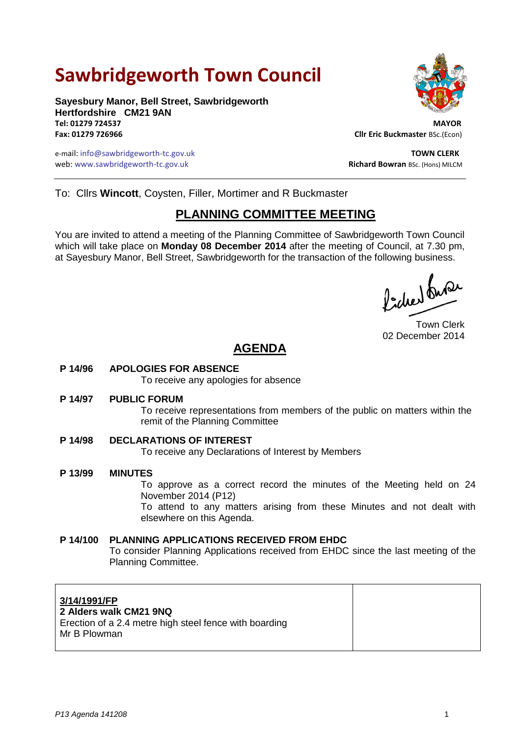# **Sawbridgeworth Town Council**

**Sayesbury Manor, Bell Street, Sawbridgeworth Hertfordshire CM21 9AN Tel: 01279 724537 MAYOR**

e-mail: info@sawbridgeworth-tc.gov.uk **TOWN CLERK** web: www.sawbridgeworth-tc.gov.uk **Richard Bowran BSc. (Hons) MILCM** Richard Bowran BSc. (Hons) MILCM



**Fax: 01279 726966 Cllr Eric Buckmaster** BSc.(Econ)

To: Cllrs **Wincott**, Coysten, Filler, Mortimer and R Buckmaster

## **PLANNING COMMITTEE MEETING**

You are invited to attend a meeting of the Planning Committee of Sawbridgeworth Town Council which will take place on **Monday 08 December 2014** after the meeting of Council, at 7.30 pm, at Sayesbury Manor, Bell Street, Sawbridgeworth for the transaction of the following business.

Picked fuse

Town Clerk 02 December 2014

# **AGENDA**

#### **P 14/96 APOLOGIES FOR ABSENCE**

To receive any apologies for absence

#### **P 14/97 PUBLIC FORUM**

To receive representations from members of the public on matters within the remit of the Planning Committee

**P 14/98 DECLARATIONS OF INTEREST** To receive any Declarations of Interest by Members

**P 13/99 MINUTES** To approve as a correct record the minutes of the Meeting held on 24 November 2014 (P12) To attend to any matters arising from these Minutes and not dealt with elsewhere on this Agenda.

#### **P 14/100 PLANNING APPLICATIONS RECEIVED FROM EHDC** To consider Planning Applications received from EHDC since the last meeting of the Planning Committee.

#### **3/14/1991/FP**

#### **2 Alders walk CM21 9NQ**

Erection of a 2.4 metre high steel fence with boarding Mr B Plowman